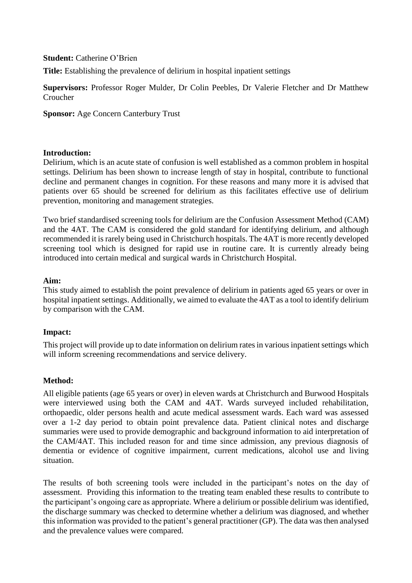### **Student:** Catherine O'Brien

**Title:** Establishing the prevalence of delirium in hospital inpatient settings

**Supervisors:** Professor Roger Mulder, Dr Colin Peebles, Dr Valerie Fletcher and Dr Matthew Croucher

**Sponsor:** Age Concern Canterbury Trust

### **Introduction:**

Delirium, which is an acute state of confusion is well established as a common problem in hospital settings. Delirium has been shown to increase length of stay in hospital, contribute to functional decline and permanent changes in cognition. For these reasons and many more it is advised that patients over 65 should be screened for delirium as this facilitates effective use of delirium prevention, monitoring and management strategies.

Two brief standardised screening tools for delirium are the Confusion Assessment Method (CAM) and the 4AT. The CAM is considered the gold standard for identifying delirium, and although recommended it is rarely being used in Christchurch hospitals. The 4AT is more recently developed screening tool which is designed for rapid use in routine care. It is currently already being introduced into certain medical and surgical wards in Christchurch Hospital.

#### **Aim:**

This study aimed to establish the point prevalence of delirium in patients aged 65 years or over in hospital inpatient settings. Additionally, we aimed to evaluate the 4AT as a tool to identify delirium by comparison with the CAM.

### **Impact:**

This project will provide up to date information on delirium rates in various inpatient settings which will inform screening recommendations and service delivery.

### **Method:**

All eligible patients (age 65 years or over) in eleven wards at Christchurch and Burwood Hospitals were interviewed using both the CAM and 4AT. Wards surveyed included rehabilitation, orthopaedic, older persons health and acute medical assessment wards. Each ward was assessed over a 1-2 day period to obtain point prevalence data. Patient clinical notes and discharge summaries were used to provide demographic and background information to aid interpretation of the CAM/4AT. This included reason for and time since admission, any previous diagnosis of dementia or evidence of cognitive impairment, current medications, alcohol use and living situation.

The results of both screening tools were included in the participant's notes on the day of assessment. Providing this information to the treating team enabled these results to contribute to the participant's ongoing care as appropriate. Where a delirium or possible delirium was identified, the discharge summary was checked to determine whether a delirium was diagnosed, and whether this information was provided to the patient's general practitioner (GP). The data was then analysed and the prevalence values were compared.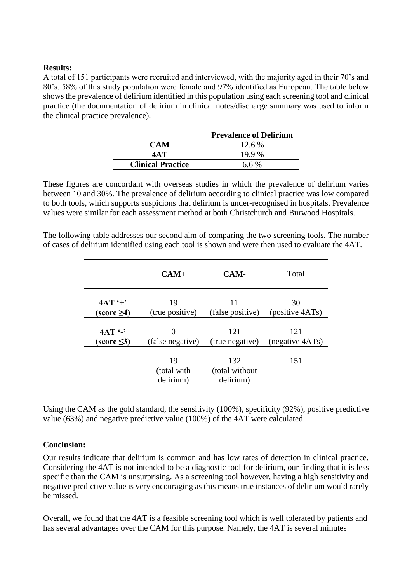## **Results:**

A total of 151 participants were recruited and interviewed, with the majority aged in their 70's and 80's. 58% of this study population were female and 97% identified as European. The table below shows the prevalence of delirium identified in this population using each screening tool and clinical practice (the documentation of delirium in clinical notes/discharge summary was used to inform the clinical practice prevalence).

|                                    | <b>Prevalence of Delirium</b> |  |
|------------------------------------|-------------------------------|--|
| <b>CAM</b>                         | 12.6 %                        |  |
| 4A T                               | 19.9 %                        |  |
| <b>Clinical Practice</b><br>6.6 \% |                               |  |

These figures are concordant with overseas studies in which the prevalence of delirium varies between 10 and 30%. The prevalence of delirium according to clinical practice was low compared to both tools, which supports suspicions that delirium is under-recognised in hospitals. Prevalence values were similar for each assessment method at both Christchurch and Burwood Hospitals.

The following table addresses our second aim of comparing the two screening tools. The number of cases of delirium identified using each tool is shown and were then used to evaluate the 4AT.

|                                      | $CAM+$                         | CAM-                               | Total           |
|--------------------------------------|--------------------------------|------------------------------------|-----------------|
| $4AT' +$                             | 19                             | 11                                 | 30              |
| $\left( \text{score} \geq 4 \right)$ | (true positive)                | (false positive)                   | (positive 4ATs) |
| $4AT$ $-$                            | (false negative)               | 121                                | 121             |
| $(score \leq 3)$                     |                                | (true negative)                    | (negative 4ATs) |
|                                      | 19<br>(total with<br>delirium) | 132<br>(total without<br>delirium) | 151             |

Using the CAM as the gold standard, the sensitivity (100%), specificity (92%), positive predictive value (63%) and negative predictive value (100%) of the 4AT were calculated.

# **Conclusion:**

Our results indicate that delirium is common and has low rates of detection in clinical practice. Considering the 4AT is not intended to be a diagnostic tool for delirium, our finding that it is less specific than the CAM is unsurprising. As a screening tool however, having a high sensitivity and negative predictive value is very encouraging as this means true instances of delirium would rarely be missed.

Overall, we found that the 4AT is a feasible screening tool which is well tolerated by patients and has several advantages over the CAM for this purpose. Namely, the 4AT is several minutes